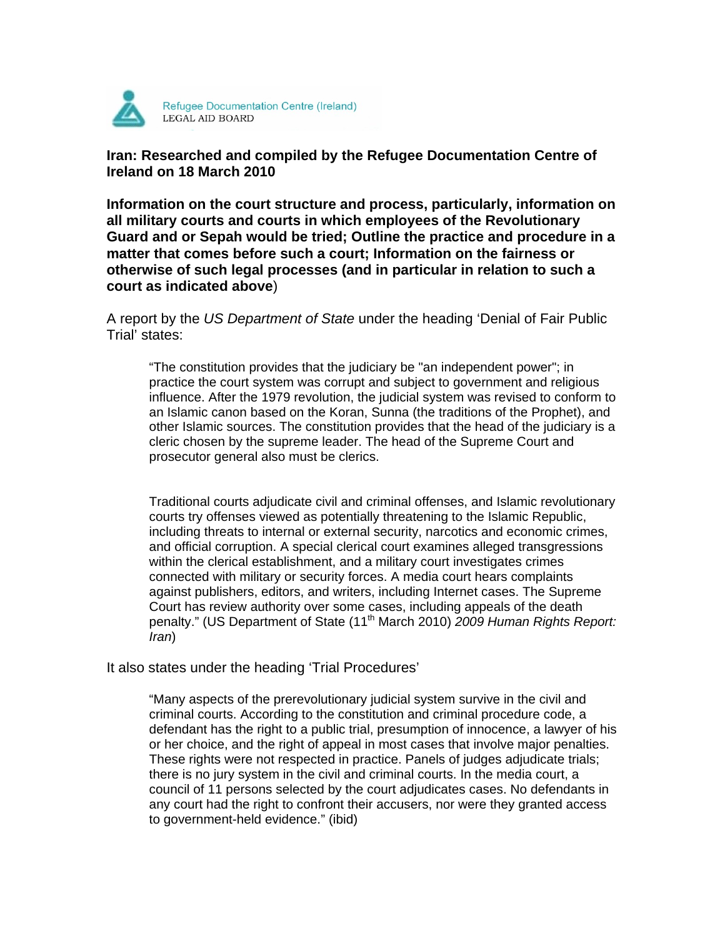

## **Iran: Researched and compiled by the Refugee Documentation Centre of Ireland on 18 March 2010**

**Information on the court structure and process, particularly, information on all military courts and courts in which employees of the Revolutionary Guard and or Sepah would be tried; Outline the practice and procedure in a matter that comes before such a court; Information on the fairness or otherwise of such legal processes (and in particular in relation to such a court as indicated above**)

A report by the US Department of State under the heading 'Denial of Fair Public Trial' states:

"The constitution provides that the judiciary be "an independent power"; in practice the court system was corrupt and subject to government and religious influence. After the 1979 revolution, the judicial system was revised to conform to an Islamic canon based on the Koran, Sunna (the traditions of the Prophet), and other Islamic sources. The constitution provides that the head of the judiciary is a cleric chosen by the supreme leader. The head of the Supreme Court and prosecutor general also must be clerics.

Traditional courts adjudicate civil and criminal offenses, and Islamic revolutionary courts try offenses viewed as potentially threatening to the Islamic Republic, including threats to internal or external security, narcotics and economic crimes, and official corruption. A special clerical court examines alleged transgressions within the clerical establishment, and a military court investigates crimes connected with military or security forces. A media court hears complaints against publishers, editors, and writers, including Internet cases. The Supreme Court has review authority over some cases, including appeals of the death penalty." (US Department of State (11<sup>th</sup> March 2010) 2009 Human Rights Report: Iran)

It also states under the heading 'Trial Procedures'

"Many aspects of the prerevolutionary judicial system survive in the civil and criminal courts. According to the constitution and criminal procedure code, a defendant has the right to a public trial, presumption of innocence, a lawyer of his or her choice, and the right of appeal in most cases that involve major penalties. These rights were not respected in practice. Panels of judges adjudicate trials; there is no jury system in the civil and criminal courts. In the media court, a council of 11 persons selected by the court adjudicates cases. No defendants in any court had the right to confront their accusers, nor were they granted access to government-held evidence." (ibid)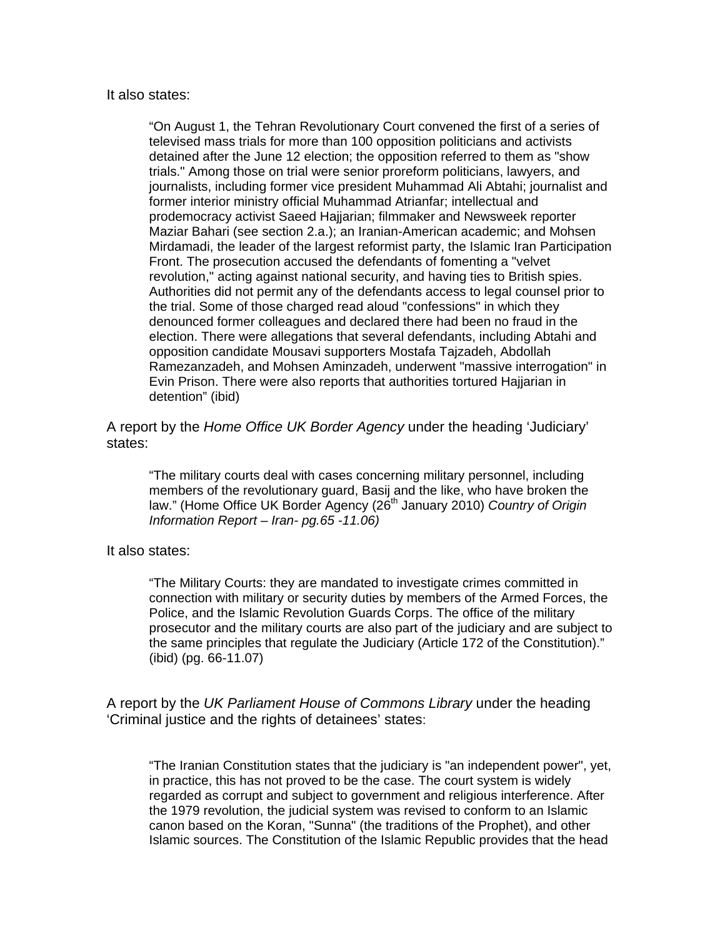It also states:

"On August 1, the Tehran Revolutionary Court convened the first of a series of televised mass trials for more than 100 opposition politicians and activists detained after the June 12 election; the opposition referred to them as "show trials." Among those on trial were senior proreform politicians, lawyers, and journalists, including former vice president Muhammad Ali Abtahi; journalist and former interior ministry official Muhammad Atrianfar; intellectual and prodemocracy activist Saeed Hajjarian; filmmaker and Newsweek reporter Maziar Bahari (see section 2.a.); an Iranian-American academic; and Mohsen Mirdamadi, the leader of the largest reformist party, the Islamic Iran Participation Front. The prosecution accused the defendants of fomenting a "velvet revolution," acting against national security, and having ties to British spies. Authorities did not permit any of the defendants access to legal counsel prior to the trial. Some of those charged read aloud "confessions" in which they denounced former colleagues and declared there had been no fraud in the election. There were allegations that several defendants, including Abtahi and opposition candidate Mousavi supporters Mostafa Tajzadeh, Abdollah Ramezanzadeh, and Mohsen Aminzadeh, underwent "massive interrogation" in Evin Prison. There were also reports that authorities tortured Hajjarian in detention" (ibid)

A report by the Home Office UK Border Agency under the heading 'Judiciary' states: which is a set of the state of the state of the state of the state of the state of the state of the state of the state of the state of the state of the state of the state of the state of the state of the state of t

"The military courts deal with cases concerning military personnel, including members of the revolutionary guard, Basij and the like, who have broken the law." (Home Office UK Border Agency (26<sup>th</sup> January 2010) Country of Origin Information Report – Iran- pg.65 -11.06)

It also states:

"The Military Courts: they are mandated to investigate crimes committed in connection with military or security duties by members of the Armed Forces, the Police, and the Islamic Revolution Guards Corps. The office of the military prosecutor and the military courts are also part of the judiciary and are subject to the same principles that regulate the Judiciary (Article 172 of the Constitution)." (ibid) (pg. 66-11.07)

A report by the UK Parliament House of Commons Library under the heading 'Criminal justice and the rights of detainees' states:

"The Iranian Constitution states that the judiciary is "an independent power", yet, in practice, this has not proved to be the case. The court system is widely regarded as corrupt and subject to government and religious interference. After the 1979 revolution, the judicial system was revised to conform to an Islamic canon based on the Koran, "Sunna" (the traditions of the Prophet), and other Islamic sources. The Constitution of the Islamic Republic provides that the head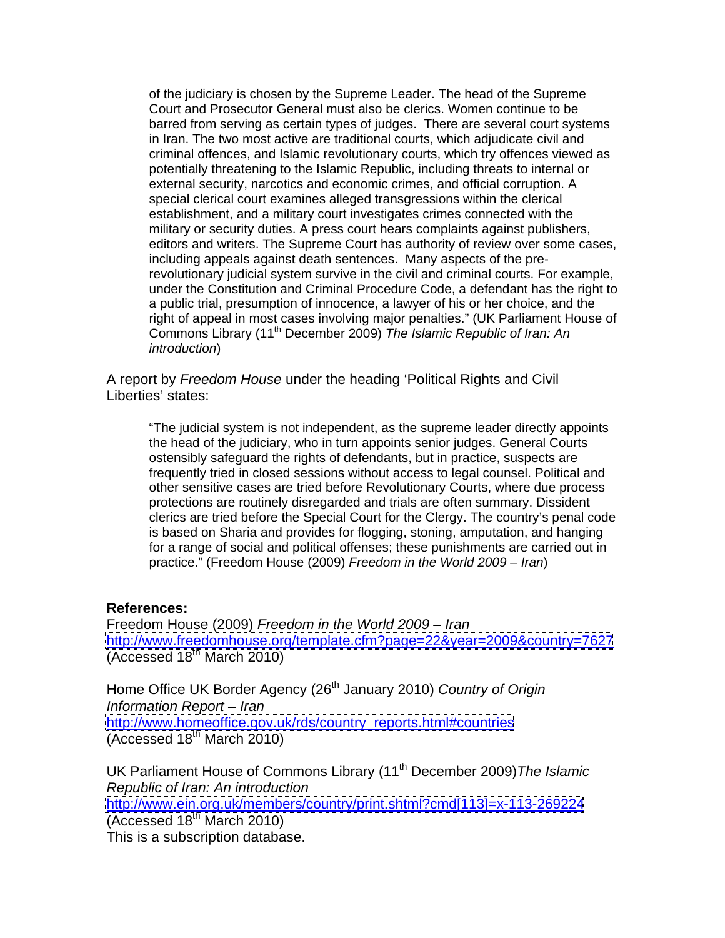of the judiciary is chosen by the Supreme Leader. The head of the Supreme Court and Prosecutor General must also be clerics. Women continue to be barred from serving as certain types of judges. There are several court systems in Iran. The two most active are traditional courts, which adjudicate civil and criminal offences, and Islamic revolutionary courts, which try offences viewed as potentially threatening to the Islamic Republic, including threats to internal or external security, narcotics and economic crimes, and official corruption. A special clerical court examines alleged transgressions within the clerical establishment, and a military court investigates crimes connected with the military or security duties. A press court hears complaints against publishers, editors and writers. The Supreme Court has authority of review over some cases, including appeals against death sentences. Many aspects of the prerevolutionary judicial system survive in the civil and criminal courts. For example, under the Constitution and Criminal Procedure Code, a defendant has the right to a public trial, presumption of innocence, a lawyer of his or her choice, and the right of appeal in most cases involving major penalties." (UK Parliament House of Commons Library (11<sup>th</sup> December 2009) The Islamic Republic of Iran: An introduction)

A report by Freedom House under the heading 'Political Rights and Civil Liberties' states:

"The judicial system is not independent, as the supreme leader directly appoints the head of the judiciary, who in turn appoints senior judges. General Courts ostensibly safeguard the rights of defendants, but in practice, suspects are frequently tried in closed sessions without access to legal counsel. Political and other sensitive cases are tried before Revolutionary Courts, where due process protections are routinely disregarded and trials are often summary. Dissident clerics are tried before the Special Court for the Clergy. The country's penal code is based on Sharia and provides for flogging, stoning, amputation, and hanging for a range of social and political offenses; these punishments are carried out in practice." (Freedom House (2009) Freedom in the World 2009 – Iran)

## **References:**

Freedom House (2009) Freedom in the World 2009 – Iran <http://www.freedomhouse.org/template.cfm?page=22&year=2009&country=7627>  $(Accessed 18<sup>th</sup> March 2010)$ 

Home Office UK Border Agency (26<sup>th</sup> January 2010) Country of Origin Information Report – Iran [http://www.homeoffice.gov.uk/rds/country\\_reports.html#countries](http://www.homeoffice.gov.uk/rds/country_reports.html#countries)  $(Accessed 18<sup>th</sup> March 2010)$ 

UK Parliament House of Commons Library (11<sup>th</sup> December 2009) The Islamic Republic of Iran: An introduction [http://www.ein.org.uk/members/country/print.shtml?cmd\[113\]=x-113-269224](http://www.ein.org.uk/members/country/print.shtml?cmd[113]=x-113-269224)  $(Accessed 18<sup>th</sup> March 2010)$ This is a subscription database.